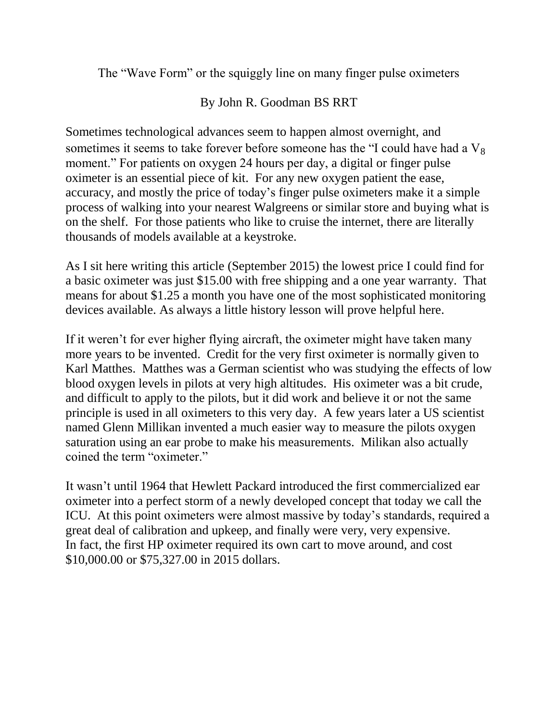The "Wave Form" or the squiggly line on many finger pulse oximeters

By John R. Goodman BS RRT

Sometimes technological advances seem to happen almost overnight, and sometimes it seems to take forever before someone has the "I could have had a  $V_8$ moment." For patients on oxygen 24 hours per day, a digital or finger pulse oximeter is an essential piece of kit. For any new oxygen patient the ease, accuracy, and mostly the price of today's finger pulse oximeters make it a simple process of walking into your nearest Walgreens or similar store and buying what is on the shelf. For those patients who like to cruise the internet, there are literally thousands of models available at a keystroke.

As I sit here writing this article (September 2015) the lowest price I could find for a basic oximeter was just \$15.00 with free shipping and a one year warranty. That means for about \$1.25 a month you have one of the most sophisticated monitoring devices available. As always a little history lesson will prove helpful here.

If it weren't for ever higher flying aircraft, the oximeter might have taken many more years to be invented. Credit for the very first oximeter is normally given to Karl Matthes. Matthes was a German scientist who was studying the effects of low blood oxygen levels in pilots at very high altitudes. His oximeter was a bit crude, and difficult to apply to the pilots, but it did work and believe it or not the same principle is used in all oximeters to this very day. A few years later a US scientist named Glenn Millikan invented a much easier way to measure the pilots oxygen saturation using an ear probe to make his measurements. Milikan also actually coined the term "oximeter."

It wasn't until 1964 that Hewlett Packard introduced the first commercialized ear oximeter into a perfect storm of a newly developed concept that today we call the ICU. At this point oximeters were almost massive by today's standards, required a great deal of calibration and upkeep, and finally were very, very expensive. In fact, the first HP oximeter required its own cart to move around, and cost \$10,000.00 or \$75,327.00 in 2015 dollars.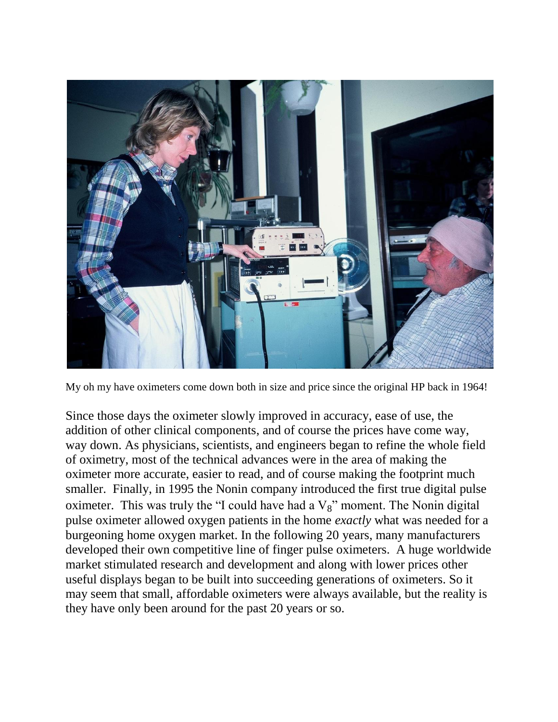

My oh my have oximeters come down both in size and price since the original HP back in 1964!

Since those days the oximeter slowly improved in accuracy, ease of use, the addition of other clinical components, and of course the prices have come way, way down. As physicians, scientists, and engineers began to refine the whole field of oximetry, most of the technical advances were in the area of making the oximeter more accurate, easier to read, and of course making the footprint much smaller. Finally, in 1995 the Nonin company introduced the first true digital pulse oximeter. This was truly the "I could have had a  $V_8$ " moment. The Nonin digital pulse oximeter allowed oxygen patients in the home *exactly* what was needed for a burgeoning home oxygen market. In the following 20 years, many manufacturers developed their own competitive line of finger pulse oximeters. A huge worldwide market stimulated research and development and along with lower prices other useful displays began to be built into succeeding generations of oximeters. So it may seem that small, affordable oximeters were always available, but the reality is they have only been around for the past 20 years or so.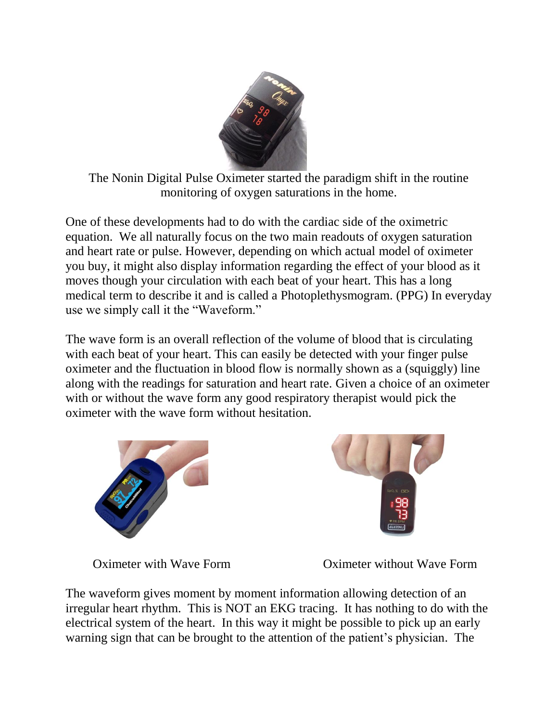

The Nonin Digital Pulse Oximeter started the paradigm shift in the routine monitoring of oxygen saturations in the home.

One of these developments had to do with the cardiac side of the oximetric equation. We all naturally focus on the two main readouts of oxygen saturation and heart rate or pulse. However, depending on which actual model of oximeter you buy, it might also display information regarding the effect of your blood as it moves though your circulation with each beat of your heart. This has a long medical term to describe it and is called a Photoplethysmogram. (PPG) In everyday use we simply call it the "Waveform."

The wave form is an overall reflection of the volume of blood that is circulating with each beat of your heart. This can easily be detected with your finger pulse oximeter and the fluctuation in blood flow is normally shown as a (squiggly) line along with the readings for saturation and heart rate. Given a choice of an oximeter with or without the wave form any good respiratory therapist would pick the oximeter with the wave form without hesitation.





Oximeter with Wave Form Oximeter without Wave Form

The waveform gives moment by moment information allowing detection of an irregular heart rhythm. This is NOT an EKG tracing. It has nothing to do with the electrical system of the heart. In this way it might be possible to pick up an early warning sign that can be brought to the attention of the patient's physician. The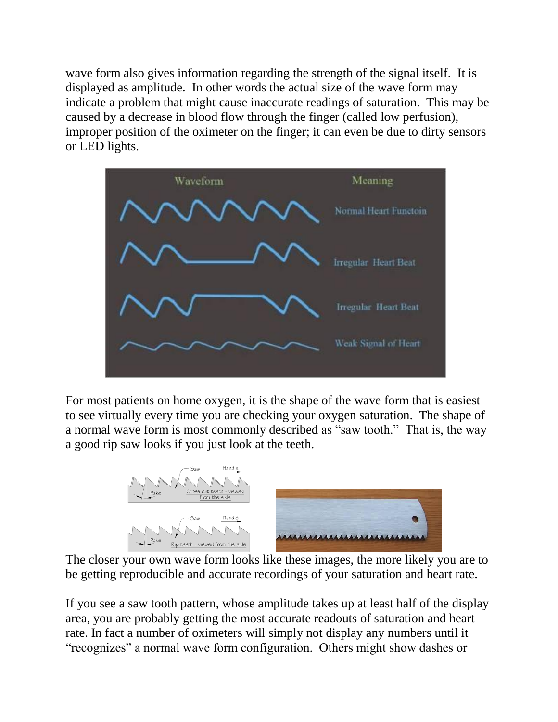wave form also gives information regarding the strength of the signal itself. It is displayed as amplitude. In other words the actual size of the wave form may indicate a problem that might cause inaccurate readings of saturation. This may be caused by a decrease in blood flow through the finger (called low perfusion), improper position of the oximeter on the finger; it can even be due to dirty sensors or LED lights.



For most patients on home oxygen, it is the shape of the wave form that is easiest to see virtually every time you are checking your oxygen saturation. The shape of a normal wave form is most commonly described as "saw tooth." That is, the way a good rip saw looks if you just look at the teeth.



The closer your own wave form looks like these images, the more likely you are to be getting reproducible and accurate recordings of your saturation and heart rate.

If you see a saw tooth pattern, whose amplitude takes up at least half of the display area, you are probably getting the most accurate readouts of saturation and heart rate. In fact a number of oximeters will simply not display any numbers until it "recognizes" a normal wave form configuration. Others might show dashes or